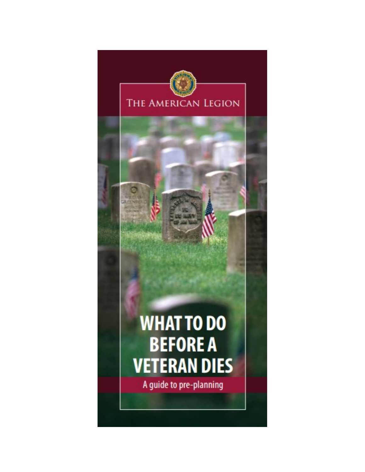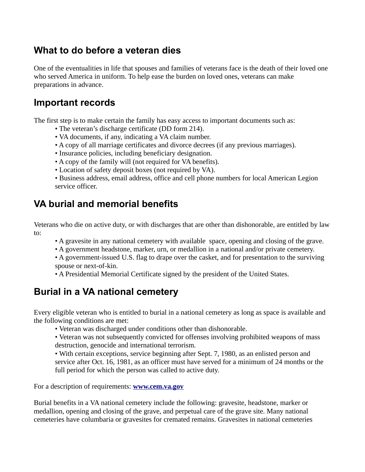## **What to do before a veteran dies**

One of the eventualities in life that spouses and families of veterans face is the death of their loved one who served America in uniform. To help ease the burden on loved ones, veterans can make preparations in advance.

### **Important records**

The first step is to make certain the family has easy access to important documents such as:

- The veteran's discharge certificate (DD form 214).
- VA documents, if any, indicating a VA claim number.
- A copy of all marriage certificates and divorce decrees (if any previous marriages).
- Insurance policies, including beneficiary designation.
- A copy of the family will (not required for VA benefits).
- Location of safety deposit boxes (not required by VA).
- Business address, email address, office and cell phone numbers for local American Legion service officer.

## **VA burial and memorial benefits**

Veterans who die on active duty, or with discharges that are other than dishonorable, are entitled by law to:

- A gravesite in any national cemetery with available space, opening and closing of the grave.
- A government headstone, marker, urn, or medallion in a national and/or private cemetery.
- A government-issued U.S. flag to drape over the casket, and for presentation to the surviving spouse or next-of-kin.
- A Presidential Memorial Certificate signed by the president of the United States.

## **Burial in a VA national cemetery**

Every eligible veteran who is entitled to burial in a national cemetery as long as space is available and the following conditions are met:

- Veteran was discharged under conditions other than dishonorable.
- Veteran was not subsequently convicted for offenses involving prohibited weapons of mass destruction, genocide and international terrorism.

• With certain exceptions, service beginning after Sept. 7, 1980, as an enlisted person and service after Oct. 16, 1981, as an officer must have served for a minimum of 24 months or the full period for which the person was called to active duty.

For a description of requirements: **[www.cem.va.gov](http://www.cem.va.gov/)**

Burial benefits in a VA national cemetery include the following: gravesite, headstone, marker or medallion, opening and closing of the grave, and perpetual care of the grave site. Many national cemeteries have columbaria or gravesites for cremated remains. Gravesites in national cemeteries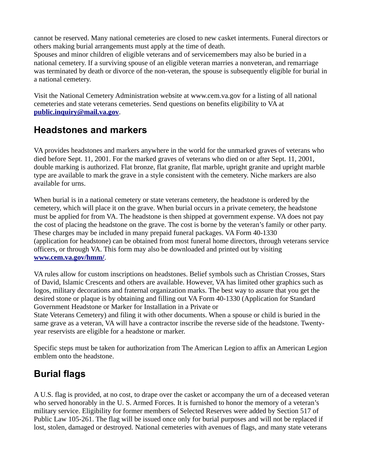cannot be reserved. Many national cemeteries are closed to new casket interments. Funeral directors or others making burial arrangements must apply at the time of death.

Spouses and minor children of eligible veterans and of servicemembers may also be buried in a national cemetery. If a surviving spouse of an eligible veteran marries a nonveteran, and remarriage was terminated by death or divorce of the non-veteran, the spouse is subsequently eligible for burial in a national cemetery.

Visit the National Cemetery Administration website at www.cem.va.gov for a listing of all national cemeteries and state veterans cemeteries. Send questions on benefits eligibility to VA at **[public.inquiry@mail.va.gov](mailto:public.inquiry@mail.va.gov)**.

## **Headstones and markers**

VA provides headstones and markers anywhere in the world for the unmarked graves of veterans who died before Sept. 11, 2001. For the marked graves of veterans who died on or after Sept. 11, 2001, double marking is authorized. Flat bronze, flat granite, flat marble, upright granite and upright marble type are available to mark the grave in a style consistent with the cemetery. Niche markers are also available for urns.

When burial is in a national cemetery or state veterans cemetery, the headstone is ordered by the cemetery, which will place it on the grave. When burial occurs in a private cemetery, the headstone must be applied for from VA. The headstone is then shipped at government expense. VA does not pay the cost of placing the headstone on the grave. The cost is borne by the veteran's family or other party. These charges may be included in many prepaid funeral packages. VA Form 40-1330 (application for headstone) can be obtained from most funeral home directors, through veterans service officers, or through VA. This form may also be downloaded and printed out by visiting **[www.cem.va.gov/hmm/](http://www.cem.va.gov/hmm/)**.

VA rules allow for custom inscriptions on headstones. Belief symbols such as Christian Crosses, Stars of David, Islamic Crescents and others are available. However, VA has limited other graphics such as logos, military decorations and fraternal organization marks. The best way to assure that you get the desired stone or plaque is by obtaining and filling out VA Form 40-1330 (Application for Standard Government Headstone or Marker for Installation in a Private or

State Veterans Cemetery) and filing it with other documents. When a spouse or child is buried in the same grave as a veteran, VA will have a contractor inscribe the reverse side of the headstone. Twentyyear reservists are eligible for a headstone or marker.

Specific steps must be taken for authorization from The American Legion to affix an American Legion emblem onto the headstone.

# **Burial flags**

A U.S. flag is provided, at no cost, to drape over the casket or accompany the urn of a deceased veteran who served honorably in the U. S. Armed Forces. It is furnished to honor the memory of a veteran's military service. Eligibility for former members of Selected Reserves were added by Section 517 of Public Law 105-261. The flag will be issued once only for burial purposes and will not be replaced if lost, stolen, damaged or destroyed. National cemeteries with avenues of flags, and many state veterans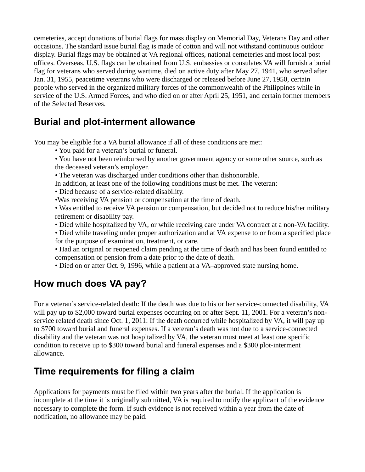cemeteries, accept donations of burial flags for mass display on Memorial Day, Veterans Day and other occasions. The standard issue burial flag is made of cotton and will not withstand continuous outdoor display. Burial flags may be obtained at VA regional offices, national cemeteries and most local post offices. Overseas, U.S. flags can be obtained from U.S. embassies or consulates VA will furnish a burial flag for veterans who served during wartime, died on active duty after May 27, 1941, who served after Jan. 31, 1955, peacetime veterans who were discharged or released before June 27, 1950, certain people who served in the organized military forces of the commonwealth of the Philippines while in service of the U.S. Armed Forces, and who died on or after April 25, 1951, and certain former members of the Selected Reserves.

## **Burial and plot-interment allowance**

You may be eligible for a VA burial allowance if all of these conditions are met:

- You paid for a veteran's burial or funeral.
- You have not been reimbursed by another government agency or some other source, such as the deceased veteran's employer.
- The veteran was discharged under conditions other than dishonorable.
- In addition, at least one of the following conditions must be met. The veteran:
- Died because of a service-related disability.
- •Was receiving VA pension or compensation at the time of death.
- Was entitled to receive VA pension or compensation, but decided not to reduce his/her military retirement or disability pay.
- Died while hospitalized by VA, or while receiving care under VA contract at a non-VA facility.
- Died while traveling under proper authorization and at VA expense to or from a specified place for the purpose of examination, treatment, or care.
- Had an original or reopened claim pending at the time of death and has been found entitled to compensation or pension from a date prior to the date of death.
- Died on or after Oct. 9, 1996, while a patient at a VA–approved state nursing home.

# **How much does VA pay?**

For a veteran's service-related death: If the death was due to his or her service-connected disability, VA will pay up to \$2,000 toward burial expenses occurring on or after Sept. 11, 2001. For a veteran's nonservice related death since Oct. 1, 2011: If the death occurred while hospitalized by VA, it will pay up to \$700 toward burial and funeral expenses. If a veteran's death was not due to a service-connected disability and the veteran was not hospitalized by VA, the veteran must meet at least one specific condition to receive up to \$300 toward burial and funeral expenses and a \$300 plot-interment allowance.

# **Time requirements for filing a claim**

Applications for payments must be filed within two years after the burial. If the application is incomplete at the time it is originally submitted, VA is required to notify the applicant of the evidence necessary to complete the form. If such evidence is not received within a year from the date of notification, no allowance may be paid.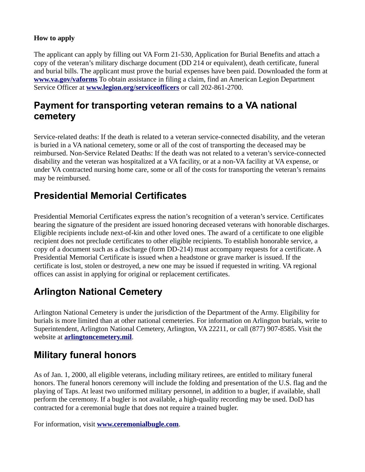#### **How to apply**

The applicant can apply by filling out VA Form 21-530, Application for Burial Benefits and attach a copy of the veteran's military discharge document (DD 214 or equivalent), death certificate, funeral and burial bills. The applicant must prove the burial expenses have been paid. Downloaded the form at **[www.va.gov/vaforms](http://www.va.gov/vaforms)** To obtain assistance in filing a claim, find an American Legion Department Service Officer at **[www.legion.org/serviceofficers](http://www.legion.org/serviceofficers)** or call 202-861-2700.

## **Payment for transporting veteran remains to a VA national cemetery**

Service-related deaths: If the death is related to a veteran service-connected disability, and the veteran is buried in a VA national cemetery, some or all of the cost of transporting the deceased may be reimbursed. Non-Service Related Deaths: If the death was not related to a veteran's service-connected disability and the veteran was hospitalized at a VA facility, or at a non-VA facility at VA expense, or under VA contracted nursing home care, some or all of the costs for transporting the veteran's remains may be reimbursed.

## **Presidential Memorial Certificates**

Presidential Memorial Certificates express the nation's recognition of a veteran's service. Certificates bearing the signature of the president are issued honoring deceased veterans with honorable discharges. Eligible recipients include next-of-kin and other loved ones. The award of a certificate to one eligible recipient does not preclude certificates to other eligible recipients. To establish honorable service, a copy of a document such as a discharge (form DD-214) must accompany requests for a certificate. A Presidential Memorial Certificate is issued when a headstone or grave marker is issued. If the certificate is lost, stolen or destroyed, a new one may be issued if requested in writing. VA regional offices can assist in applying for original or replacement certificates.

# **Arlington National Cemetery**

Arlington National Cemetery is under the jurisdiction of the Department of the Army. Eligibility for burials is more limited than at other national cemeteries. For information on Arlington burials, write to Superintendent, Arlington National Cemetery, Arlington, VA 22211, or call (877) 907-8585. Visit the website at **[arlingtoncemetery.mil](http://arlingtoncemetery.mil/)**.

## **Military funeral honors**

As of Jan. 1, 2000, all eligible veterans, including military retirees, are entitled to military funeral honors. The funeral honors ceremony will include the folding and presentation of the U.S. flag and the playing of Taps. At least two uniformed military personnel, in addition to a bugler, if available, shall perform the ceremony. If a bugler is not available, a high-quality recording may be used. DoD has contracted for a ceremonial bugle that does not require a trained bugler.

For information, visit **[www.ceremonialbugle.com](http://www.ceremonialbugle.com/)**.